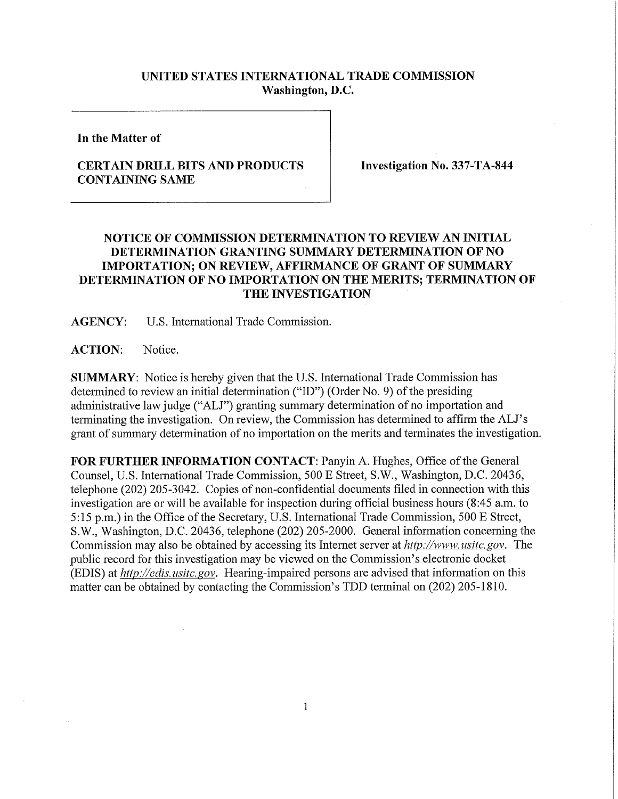## **UNITED STATES INTERNATIONAL TRADE COMMISSION Washington, D.C.**

**In the Matter of** 

## **CERTAIN DRILL BITS AND PRODUCTS CONTAINING SAME**

**Investigation No. 337-TA-844** 

## **NOTICE OF COMMISSION DETERMINATION TO REVIEW AN INITIAL DETERMINATION GRANTING SUMMARY DETERMINATION OF NO IMPORTATION; ON REVIEW, AFFIRMANCE OF GRANT OF SUMMARY DETERMINATION OF NO IMPORTATION ON THE MERITS; TERMINATION OF T HE INVESTIGATION**

**AGENCY:** U.S. International Trade Commission.

**ACTION:** Notice.

**SUMMARY:** Notice is hereby given that the U.S. International Trade Commission has determined to review an initial determination ("ID") (Order No. 9) of the presiding administrative law judge ("ALJ") granting summary determination of no importation and terminating the investigation. On review, the Commission has determined to affirm the ALJ's grant of summary determination of no importation on the merits and terminates the investigation.

FOR FURTHER INFORMATION CONTACT: Panyin A. Hughes, Office of the General Counsel, U.S. International Trade Commission, 500 E Street, S.W., Washington, D.C. 20436, telephone (202) 205-3042. Copies of non-confidential documents filed in connection with this investigation are or will be available for inspection during official business hours (8:45 a.m. to 5:15 p.m.) in the Office of the Secretary, U.S. International Trade Commission, 500 E Street, S.W., Washington, D.C. 20436, telephone (202) 205-2000. General information concerning the Commission may also be obtained by accessing its Internet server at *http://www. usitc. gov.* The public record for this investigation may be viewed on the Commission's electronic docket (EDIS) at *http://edis. usitc. gov.* Hearing-impaired persons are advised that information on this matter can be obtained by contacting the Commission's TDD terminal on (202) 205-1810.